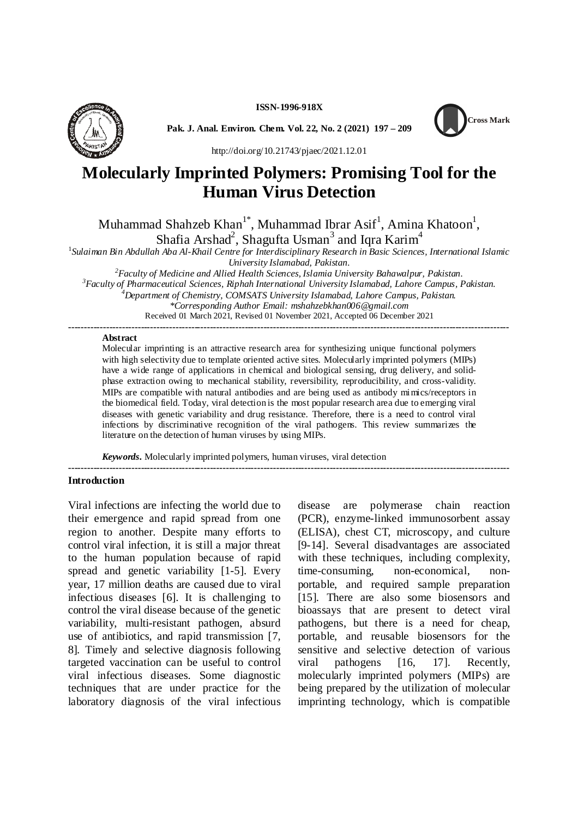**ISSN-1996-918X**



**Pak. J. Anal. Environ. Chem. Vol. 22, No. 2 (2021) 197 – 209**



http://doi.org/10.21743/pjaec/2021.12.01

# **Molecularly Imprinted Polymers: Promising Tool for the Human Virus Detection**

Muhammad Shahzeb Khan $^{1*}$ , Muhammad Ibrar Asif $^{1}$ , Amina Khatoon $^{1}$ , Shafia Arshad<sup>2</sup>, Shagufta Usman<sup>3</sup> and Iqra Karim<sup>4</sup>

1 *Sulaiman Bin Abdullah Aba Al-Khail Centre for Interdisciplinary Research in Basic Sciences, International Islamic University Islamabad, Pakistan.*

*<sup>2</sup>Faculty of Medicine and Allied Health Sciences, Islamia University Bahawalpur, Pakistan. <sup>3</sup>Faculty of Pharmaceutical Sciences, Riphah International University Islamabad, Lahore Campus, Pakistan. <sup>4</sup>Department of Chemistry, COMSATS University Islamabad, Lahore Campus, Pakistan. \*Corresponding Author Email: mshahzebkhan006@gmail.com* Received 01 March 2021, Revised 01 November 2021, Accepted 06 December 2021

**--------------------------------------------------------------------------------------------------------------------------------------------**

#### **Abstract**

Molecular imprinting is an attractive research area for synthesizing unique functional polymers with high selectivity due to template oriented active sites. Molecularly imprinted polymers (MIPs) have a wide range of applications in chemical and biological sensing, drug delivery, and solidphase extraction owing to mechanical stability, reversibility, reproducibility, and cross-validity. MIPs are compatible with natural antibodies and are being used as antibody mimics/receptors in the biomedical field. Today, viral detection is the most popular research area due to emerging viral diseases with genetic variability and drug resistance. Therefore, there is a need to control viral infections by discriminative recognition of the viral pathogens. This review summarizes the literature on the detection of human viruses by using MIPs.

**--------------------------------------------------------------------------------------------------------------------------------------------**

*Keywords.* Molecularly imprinted polymers, human viruses, viral detection

#### **Introduction**

Viral infections are infecting the world due to their emergence and rapid spread from one region to another. Despite many efforts to control viral infection, it is still a major threat to the human population because of rapid spread and genetic variability [1-5]. Every year, 17 million deaths are caused due to viral infectious diseases [6]. It is challenging to control the viral disease because of the genetic variability, multi-resistant pathogen, absurd use of antibiotics, and rapid transmission [7, 8]. Timely and selective diagnosis following targeted vaccination can be useful to control viral infectious diseases. Some diagnostic techniques that are under practice for the laboratory diagnosis of the viral infectious

are polymerase chain reaction (PCR), enzyme-linked immunosorbent assay (ELISA), chest CT, microscopy, and culture [9-14]. Several disadvantages are associated with these techniques, including complexity, time-consuming, non-economical, nonportable, and required sample preparation [15]. There are also some biosensors and bioassays that are present to detect viral pathogens, but there is a need for cheap, portable, and reusable biosensors for the sensitive and selective detection of various viral pathogens [16, 17]. Recently, molecularly imprinted polymers (MIPs) are being prepared by the utilization of molecular imprinting technology, which is compatible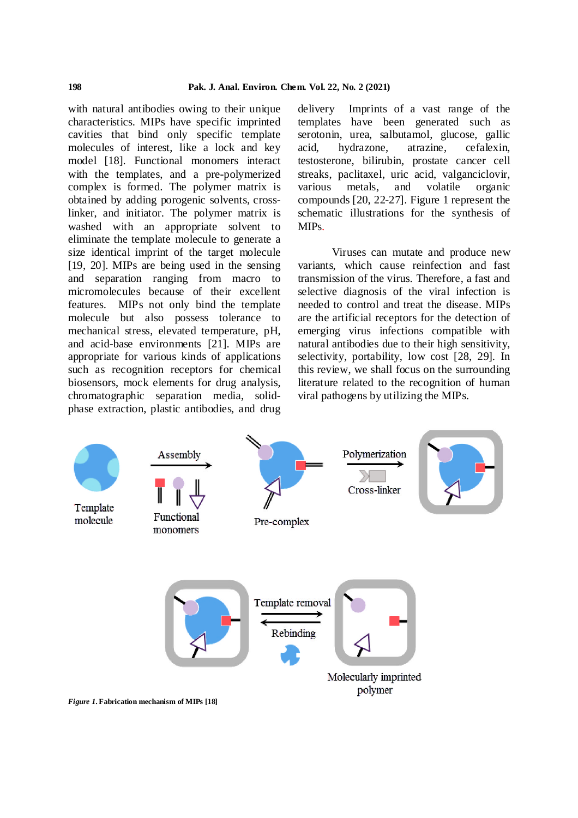with natural antibodies owing to their unique characteristics. MIPs have specific imprinted cavities that bind only specific template molecules of interest, like a lock and key model [18]. Functional monomers interact with the templates, and a pre-polymerized complex is formed. The polymer matrix is obtained by adding porogenic solvents, crosslinker, and initiator. The polymer matrix is washed with an appropriate solvent to eliminate the template molecule to generate a size identical imprint of the target molecule [19, 20]. MIPs are being used in the sensing and separation ranging from macro to micromolecules because of their excellent features. MIPs not only bind the template molecule but also possess tolerance to mechanical stress, elevated temperature, pH, and acid-base environments [21]. MIPs are appropriate for various kinds of applications such as recognition receptors for chemical biosensors, mock elements for drug analysis, chromatographic separation media, solidphase extraction, plastic antibodies, and drug

delivery Imprints of a vast range of the templates have been generated such as serotonin, urea, salbutamol, glucose, gallic acid, hydrazone, atrazine, cefalexin, testosterone, bilirubin, prostate cancer cell streaks, paclitaxel, uric acid, valganciclovir, metals, and volatile organic compounds [20, 22-27]. Figure 1 represent the schematic illustrations for the synthesis of MIPs.

Viruses can mutate and produce new variants, which cause reinfection and fast transmission of the virus. Therefore, a fast and selective diagnosis of the viral infection is needed to control and treat the disease. MIPs are the artificial receptors for the detection of emerging virus infections compatible with natural antibodies due to their high sensitivity, selectivity, portability, low cost [28, 29]. In this review, we shall focus on the surrounding literature related to the recognition of human viral pathogens by utilizing the MIPs.



*Figure 1***. Fabrication mechanism of MIPs [18]**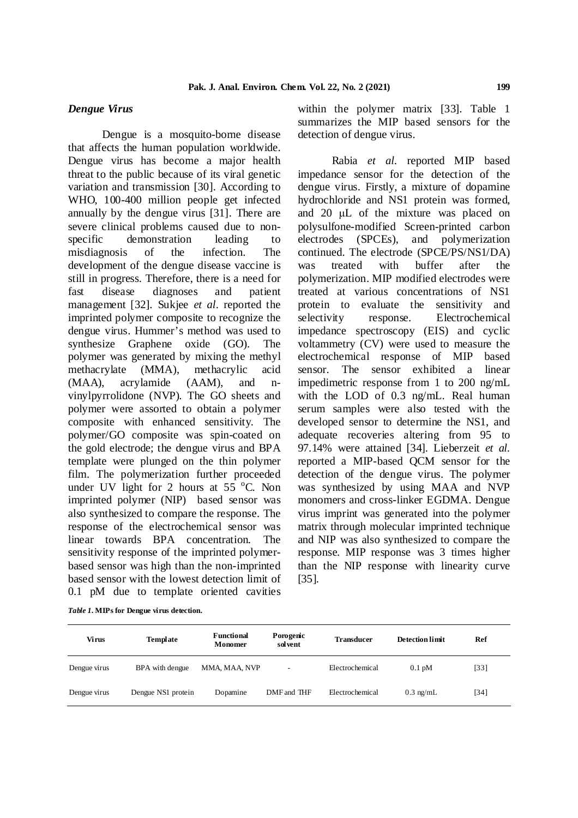## *Dengue Virus*

Dengue is a mosquito-borne disease that affects the human population worldwide. Dengue virus has become a major health threat to the public because of its viral genetic variation and transmission [30]. According to WHO, 100-400 million people get infected annually by the dengue virus [31]. There are severe clinical problems caused due to nonspecific demonstration leading to misdiagnosis of the infection. The development of the dengue disease vaccine is was still in progress. Therefore, there is a need for fast disease diagnoses and patient management [32]. Sukjee *et al*. reported the imprinted polymer composite to recognize the dengue virus. Hummer's method was used to synthesize Graphene oxide (GO). The polymer was generated by mixing the methyl methacrylate (MMA), methacrylic acid (MAA), acrylamide (AAM), and nvinylpyrrolidone (NVP). The GO sheets and polymer were assorted to obtain a polymer composite with enhanced sensitivity. The polymer/GO composite was spin-coated on the gold electrode; the dengue virus and BPA template were plunged on the thin polymer film. The polymerization further proceeded under UV light for 2 hours at  $55^{\circ}$ C. Non imprinted polymer (NIP) based sensor was also synthesized to compare the response. The response of the electrochemical sensor was linear towards BPA concentration. The sensitivity response of the imprinted polymerbased sensor was high than the non-imprinted based sensor with the lowest detection limit of 0.1 pM due to template oriented cavities

within the polymer matrix [33]. Table 1 summarizes the MIP based sensors for the detection of dengue virus.

Rabia *et al.* reported MIP based impedance sensor for the detection of the dengue virus. Firstly, a mixture of dopamine hydrochloride and NS1 protein was formed, and 20 μL of the mixture was placed on polysulfone-modified Screen-printed carbon electrodes (SPCEs), and polymerization continued. The electrode (SPCE/PS/NS1/DA) treated with buffer after the polymerization. MIP modified electrodes were treated at various concentrations of NS1 protein to evaluate the sensitivity and selectivity response. Electrochemical impedance spectroscopy (EIS) and cyclic voltammetry (CV) were used to measure the electrochemical response of MIP based sensor. The sensor exhibited a linear impedimetric response from 1 to 200 ng/mL with the LOD of 0.3 ng/mL. Real human serum samples were also tested with the developed sensor to determine the NS1, and adequate recoveries altering from 95 to 97.14% were attained [34]. Lieberzeit *et al.* reported a MIP-based QCM sensor for the detection of the dengue virus. The polymer was synthesized by using MAA and NVP monomers and cross-linker EGDMA. Dengue virus imprint was generated into the polymer matrix through molecular imprinted technique and NIP was also synthesized to compare the response. MIP response was 3 times higher than the NIP response with linearity curve [35].

*Table 1.* **MIPs for Dengue virus detection.**

| Virus        | Template           | <b>Functional</b><br>Monomer | Porogenic<br>solvent | <b>Transducer</b> | <b>Detection limit</b> | Ref               |
|--------------|--------------------|------------------------------|----------------------|-------------------|------------------------|-------------------|
| Dengue virus | BPA with dengue    | MMA, MAA, NVP                | ٠                    | Electrochemical   | $0.1 \text{ pM}$       | $\left[33\right]$ |
| Dengue virus | Dengue NS1 protein | Dopamine                     | DMF and THF          | Electrochemical   | $0.3 \text{ ng/mL}$    | $[34]$            |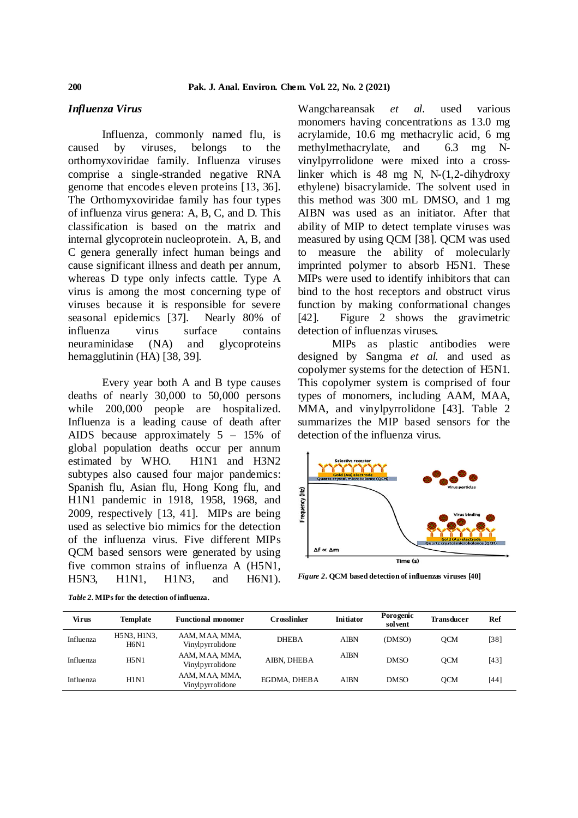## *Influenza Virus*

Influenza, commonly named flu, is caused by viruses, belongs to the orthomyxoviridae family. Influenza viruses comprise a single-stranded negative RNA genome that encodes eleven proteins [13, 36]. The Orthomyxoviridae family has four types of influenza virus genera: A, B, C, and D. This classification is based on the matrix and internal glycoprotein nucleoprotein. A, B, and C genera generally infect human beings and cause significant illness and death per annum, whereas D type only infects cattle. Type A virus is among the most concerning type of viruses because it is responsible for severe seasonal epidemics [37]. Nearly 80% of [42]. influenza virus surface contains neuraminidase (NA) and glycoproteins hemagglutinin (HA) [38, 39].

Every year both A and B type causes deaths of nearly 30,000 to 50,000 persons while 200,000 people are hospitalized. Influenza is a leading cause of death after AIDS because approximately 5 – 15% of global population deaths occur per annum estimated by WHO. H1N1 and H3N2 subtypes also caused four major pandemics: Spanish flu, Asian flu, Hong Kong flu, and H1N1 pandemic in 1918, 1958, 1968, and 2009, respectively [13, 41]. MIPs are being used as selective bio mimics for the detection of the influenza virus. Five different MIPs QCM based sensors were generated by using five common strains of influenza A (H5N1, H5N3, H1N1, H1N3, and H6N1).

Wangchareansak *et al.* used various monomers having concentrations as 13.0 mg acrylamide, 10.6 mg methacrylic acid, 6 mg methylmethacrylate, and 6.3 mg Nvinylpyrrolidone were mixed into a crosslinker which is 48 mg N, N-(1,2-dihydroxy ethylene) bisacrylamide. The solvent used in this method was 300 mL DMSO, and 1 mg AIBN was used as an initiator. After that ability of MIP to detect template viruses was measured by using QCM [38]. QCM was used to measure the ability of molecularly imprinted polymer to absorb H5N1. These MIPs were used to identify inhibitors that can bind to the host receptors and obstruct virus function by making conformational changes Figure 2 shows the gravimetric detection of influenzas viruses.

MIPs as plastic antibodies were designed by Sangma *et al.* and used as copolymer systems for the detection of H5N1. This copolymer system is comprised of four types of monomers, including AAM, MAA, MMA, and vinylpyrrolidone [43]. Table 2 summarizes the MIP based sensors for the detection of the influenza virus.



*Figure 2***. QCM based detection of influenzas viruses [40]**

| <b>Virus</b> | <b>Template</b>            | <b>Functional monomer</b>          | Crosslinker  | <b>Initiator</b> | Porogenic<br>sol vent | <b>Transducer</b> | Ref  |
|--------------|----------------------------|------------------------------------|--------------|------------------|-----------------------|-------------------|------|
| Influenza    | H5N3, H1N3,<br><b>H6N1</b> | AAM, MAA, MMA,<br>Vinylpyrrolidone | <b>DHEBA</b> | <b>AIBN</b>      | (DMSO)                | <b>OCM</b>        | [38] |
| Influenza    | <b>H5N1</b>                | AAM, MAA, MMA,<br>Vinylpyrrolidone | AIBN, DHEBA  | <b>AIBN</b>      | <b>DMSO</b>           | <b>OCM</b>        | [43] |
| Influenza    | <b>H1N1</b>                | AAM, MAA, MMA,<br>Vinylpyrrolidone | EGDMA, DHEBA | <b>AIBN</b>      | <b>DMSO</b>           | <b>OCM</b>        | [44] |
|              |                            |                                    |              |                  |                       |                   |      |

*Table 2.* **MIPs for the detection of influenza.**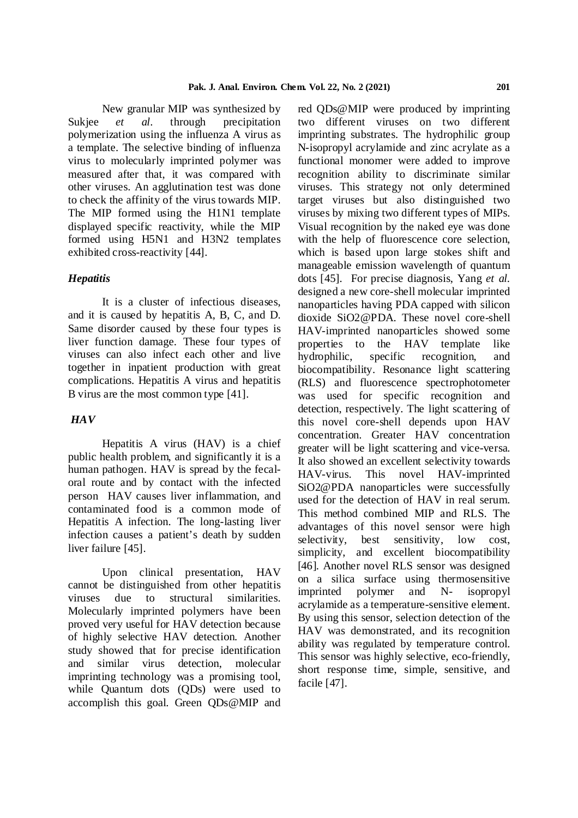New granular MIP was synthesized by Sukjee *et al*. through precipitation polymerization using the influenza A virus as a template. The selective binding of influenza virus to molecularly imprinted polymer was measured after that, it was compared with other viruses. An agglutination test was done to check the affinity of the virus towards MIP. The MIP formed using the H1N1 template displayed specific reactivity, while the MIP formed using H5N1 and H3N2 templates exhibited cross-reactivity [44].

# *Hepatitis*

It is a cluster of infectious diseases, and it is caused by hepatitis A, B, C, and D. Same disorder caused by these four types is liver function damage. These four types of viruses can also infect each other and live together in inpatient production with great complications. Hepatitis A virus and hepatitis B virus are the most common type [41].

# *HAV*

Hepatitis A virus (HAV) is a chief public health problem, and significantly it is a human pathogen. HAV is spread by the fecaloral route and by contact with the infected person HAV causes liver inflammation, and contaminated food is a common mode of Hepatitis A infection. The long-lasting liver infection causes a patient's death by sudden liver failure [45].

Upon clinical presentation, HAV cannot be distinguished from other hepatitis viruses due to structural similarities. Molecularly imprinted polymers have been proved very useful for HAV detection because of highly selective HAV detection. Another study showed that for precise identification and similar virus detection, molecular imprinting technology was a promising tool, while Quantum dots (QDs) were used to accomplish this goal. Green QDs@MIP and red QDs@MIP were produced by imprinting two different viruses on two different imprinting substrates. The hydrophilic group N-isopropyl acrylamide and zinc acrylate as a functional monomer were added to improve recognition ability to discriminate similar viruses. This strategy not only determined target viruses but also distinguished two viruses by mixing two different types of MIPs. Visual recognition by the naked eye was done with the help of fluorescence core selection, which is based upon large stokes shift and manageable emission wavelength of quantum dots [45]. For precise diagnosis, Yang *et al.* designed a new core-shell molecular imprinted nanoparticles having PDA capped with silicon dioxide SiO2@PDA. These novel core-shell HAV-imprinted nanoparticles showed some properties to the HAV template like hydrophilic, specific recognition, and biocompatibility. Resonance light scattering (RLS) and fluorescence spectrophotometer was used for specific recognition and detection, respectively. The light scattering of this novel core-shell depends upon HAV concentration. Greater HAV concentration greater will be light scattering and vice-versa. It also showed an excellent selectivity towards HAV-virus. This novel HAV-imprinted SiO2@PDA nanoparticles were successfully used for the detection of HAV in real serum. This method combined MIP and RLS. The advantages of this novel sensor were high selectivity, best sensitivity, low cost. simplicity, and excellent biocompatibility [46]. Another novel RLS sensor was designed on a silica surface using thermosensitive imprinted polymer and N- isopropyl acrylamide as a temperature-sensitive element. By using this sensor, selection detection of the HAV was demonstrated, and its recognition ability was regulated by temperature control. This sensor was highly selective, eco-friendly, short response time, simple, sensitive, and facile [47].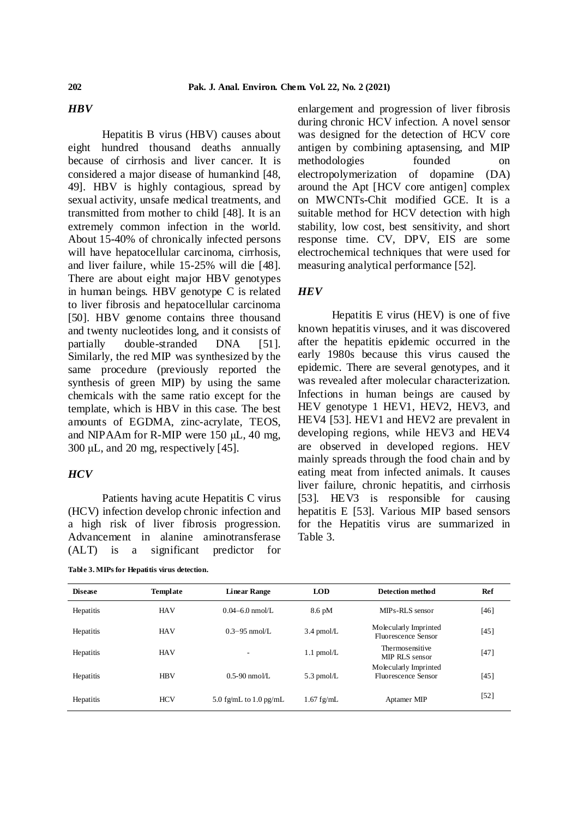# *HBV*

Hepatitis B virus (HBV) causes about eight hundred thousand deaths annually because of cirrhosis and liver cancer. It is considered a major disease of humankind [48, 49]. HBV is highly contagious, spread by sexual activity, unsafe medical treatments, and transmitted from mother to child [48]. It is an extremely common infection in the world. About 15-40% of chronically infected persons will have hepatocellular carcinoma, cirrhosis, and liver failure, while 15-25% will die [48]. There are about eight major HBV genotypes in human beings. HBV genotype C is related to liver fibrosis and hepatocellular carcinoma [50]. HBV genome contains three thousand and twenty nucleotides long, and it consists of partially double-stranded DNA [51]. Similarly, the red MIP was synthesized by the same procedure (previously reported the synthesis of green MIP) by using the same chemicals with the same ratio except for the template, which is HBV in this case. The best amounts of EGDMA, zinc-acrylate, TEOS, and NIPAAm for R-MIP were 150 μL, 40 mg, 300  $\mu$ L, and 20 mg, respectively [45].

# *HCV*

Patients having acute Hepatitis C virus (HCV) infection develop chronic infection and a high risk of liver fibrosis progression. Advancement in alanine aminotransferase (ALT) is a significant predictor for

**Table 3. MIPs for Hepatitis virus detection.**

enlargement and progression of liver fibrosis during chronic HCV infection. A novel sensor was designed for the detection of HCV core antigen by combining aptasensing, and MIP methodologies founded on electropolymerization of dopamine (DA) around the Apt [HCV core antigen] complex on MWCNTs-Chit modified GCE. It is a suitable method for HCV detection with high stability, low cost, best sensitivity, and short response time. CV, DPV, EIS are some electrochemical techniques that were used for measuring analytical performance [52].

# *HEV*

Hepatitis E virus (HEV) is one of five known hepatitis viruses, and it was discovered after the hepatitis epidemic occurred in the early 1980s because this virus caused the epidemic. There are several genotypes, and it was revealed after molecular characterization. Infections in human beings are caused by HEV genotype 1 HEV1, HEV2, HEV3, and HEV4 [53]. HEV1 and HEV2 are prevalent in developing regions, while HEV3 and HEV4 are observed in developed regions. HEV mainly spreads through the food chain and by eating meat from infected animals. It causes liver failure, chronic hepatitis, and cirrhosis [53]. HEV3 is responsible for causing hepatitis E [53]. Various MIP based sensors for the Hepatitis virus are summarized in Table 3.

| <b>Disease</b> | Template   | <b>Linear Range</b>      | <b>LOD</b>       | Detection method                             | Ref               |
|----------------|------------|--------------------------|------------------|----------------------------------------------|-------------------|
| Hepatitis      | <b>HAV</b> | $0.04 - 6.0$ nmol/L.     | $8.6 \text{ pM}$ | MIPs-RLS sensor                              | [46]              |
| Hepatitis      | <b>HAV</b> | $0.3 - 95$ nmol/L        | $3.4$ pmol/L     | Molecularly Imprinted<br>Fluorescence Sensor | [45]              |
| Hepatitis      | <b>HAV</b> | ۰                        | $1.1$ pmol/L     | Thermosensitive<br>MIP RLS sensor            | [47]              |
| Hepatitis      | <b>HBV</b> | $0.5 - 90$ nmol/L        | $5.3$ pmol/L     | Molecularly Imprinted<br>Fluorescence Sensor | [45]              |
| Hepatitis      | <b>HCV</b> | 5.0 fg/mL to $1.0$ pg/mL | $1.67$ fg/mL     | Aptamer MIP                                  | $\left[52\right]$ |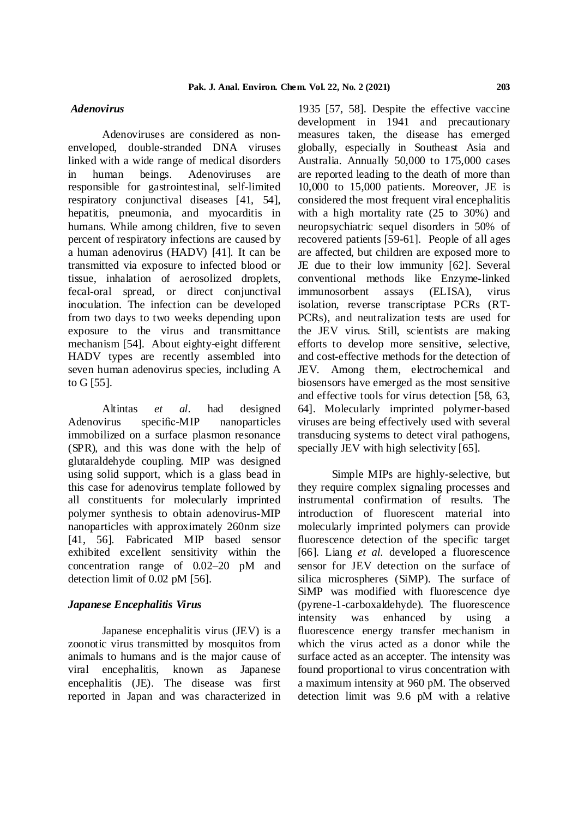#### *Adenovirus*

Adenoviruses are considered as nonenveloped, double-stranded DNA viruses linked with a wide range of medical disorders in human beings. Adenoviruses are responsible for gastrointestinal, self-limited respiratory conjunctival diseases [41, 54], hepatitis, pneumonia, and myocarditis in humans. While among children, five to seven percent of respiratory infections are caused by a human adenovirus (HADV) [41]. It can be transmitted via exposure to infected blood or tissue, inhalation of aerosolized droplets, fecal-oral spread, or direct conjunctival inoculation. The infection can be developed from two days to two weeks depending upon exposure to the virus and transmittance mechanism [54]. About eighty-eight different HADV types are recently assembled into seven human adenovirus species, including A to G [55].

Altintas *et al*. had designed Adenovirus specific-MIP nanoparticles immobilized on a surface plasmon resonance (SPR), and this was done with the help of glutaraldehyde coupling. MIP was designed using solid support, which is a glass bead in this case for adenovirus template followed by all constituents for molecularly imprinted polymer synthesis to obtain adenovirus-MIP nanoparticles with approximately 260nm size [41, 56]. Fabricated MIP based sensor exhibited excellent sensitivity within the concentration range of 0.02–20 pM and detection limit of 0.02 pM [56].

#### *Japanese Encephalitis Virus*

Japanese encephalitis virus (JEV) is a zoonotic virus transmitted by mosquitos from animals to humans and is the major cause of viral encephalitis, known as Japanese encephalitis (JE). The disease was first reported in Japan and was characterized in

1935 [57, 58]. Despite the effective vaccine development in 1941 and precautionary measures taken, the disease has emerged globally, especially in Southeast Asia and Australia. Annually 50,000 to 175,000 cases are reported leading to the death of more than 10,000 to 15,000 patients. Moreover, JE is considered the most frequent viral encephalitis with a high mortality rate (25 to 30%) and neuropsychiatric sequel disorders in 50% of recovered patients [59-61]. People of all ages are affected, but children are exposed more to JE due to their low immunity [62]. Several conventional methods like Enzyme-linked immunosorbent assays (ELISA), virus isolation, reverse transcriptase PCRs (RT-PCRs), and neutralization tests are used for the JEV virus. Still, scientists are making efforts to develop more sensitive, selective, and cost-effective methods for the detection of JEV. Among them, electrochemical and biosensors have emerged as the most sensitive and effective tools for virus detection [58, 63, 64]. Molecularly imprinted polymer-based viruses are being effectively used with several transducing systems to detect viral pathogens, specially JEV with high selectivity [65].

Simple MIPs are highly-selective, but they require complex signaling processes and instrumental confirmation of results. The introduction of fluorescent material into molecularly imprinted polymers can provide fluorescence detection of the specific target [66]. Liang *et al.* developed a fluorescence sensor for JEV detection on the surface of silica microspheres (SiMP). The surface of SiMP was modified with fluorescence dye (pyrene-1-carboxaldehyde). The fluorescence intensity was enhanced by using a fluorescence energy transfer mechanism in which the virus acted as a donor while the surface acted as an accepter. The intensity was found proportional to virus concentration with a maximum intensity at 960 pM. The observed detection limit was 9.6 pM with a relative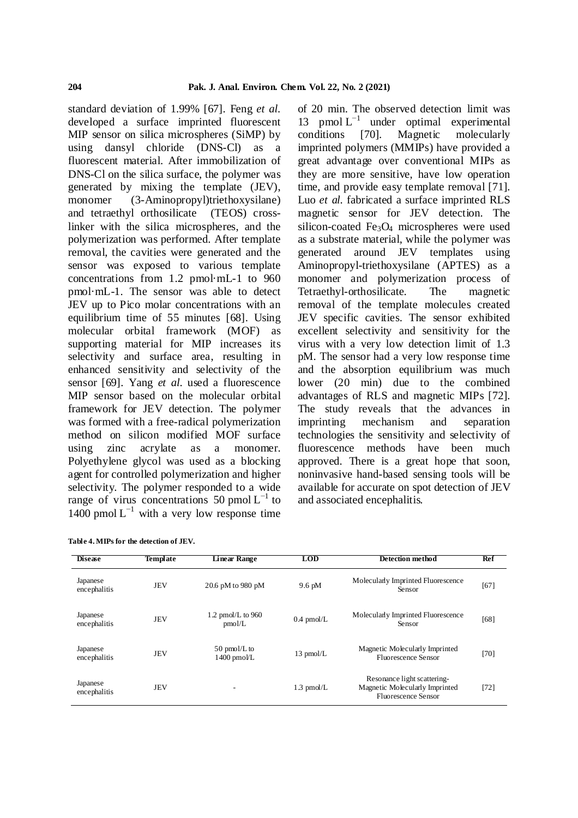standard deviation of 1.99% [67]. Feng *et al.* developed a surface imprinted fluorescent MIP sensor on silica microspheres (SiMP) by conditions using dansyl chloride (DNS-Cl) as a fluorescent material. After immobilization of DNS-Cl on the silica surface, the polymer was generated by mixing the template (JEV), monomer (3-Aminopropyl)triethoxysilane) and tetraethyl orthosilicate (TEOS) crosslinker with the silica microspheres, and the polymerization was performed. After template removal, the cavities were generated and the sensor was exposed to various template concentrations from 1.2 pmol·mL-1 to 960 pmol·mL-1. The sensor was able to detect JEV up to Pico molar concentrations with an equilibrium time of 55 minutes [68]. Using molecular orbital framework (MOF) as supporting material for MIP increases its selectivity and surface area, resulting in enhanced sensitivity and selectivity of the sensor [69]. Yang *et al.* used a fluorescence MIP sensor based on the molecular orbital framework for JEV detection. The polymer was formed with a free-radical polymerization method on silicon modified MOF surface using zinc acrylate as a monomer. Polyethylene glycol was used as a blocking agent for controlled polymerization and higher selectivity. The polymer responded to a wide range of virus concentrations 50 pmol  $L^{-1}$  to 1400 pmol  $L^{-1}$  with a very low response time

| Table 4. MIPs for the detection of JEV. |  |  |
|-----------------------------------------|--|--|
|                                         |  |  |

of 20 min. The observed detection limit was 13 pmol  $L^{-1}$  under optimal experimental [70]. Magnetic molecularly imprinted polymers (MMIPs) have provided a great advantage over conventional MIPs as they are more sensitive, have low operation time, and provide easy template removal [71]. Luo *et al.* fabricated a surface imprinted RLS magnetic sensor for JEV detection. The silicon-coated Fe<sub>3</sub>O<sub>4</sub> microspheres were used as a substrate material, while the polymer was generated around JEV templates using Aminopropyl-triethoxysilane (APTES) as a monomer and polymerization process of Tetraethyl-orthosilicate. The magnetic removal of the template molecules created JEV specific cavities. The sensor exhibited excellent selectivity and sensitivity for the virus with a very low detection limit of 1.3 pM. The sensor had a very low response time and the absorption equilibrium was much lower (20 min) due to the combined advantages of RLS and magnetic MIPs [72]. The study reveals that the advances in imprinting mechanism and separation technologies the sensitivity and selectivity of fluorescence methods have been much approved. There is a great hope that soon, noninvasive hand-based sensing tools will be available for accurate on spot detection of JEV and associated encephalitis.

| <b>Disease</b>           | <b>Template</b> | <b>Linear Range</b>                       | <b>LOD</b>       | Detection method                                                                            | Ref    |
|--------------------------|-----------------|-------------------------------------------|------------------|---------------------------------------------------------------------------------------------|--------|
| Japanese<br>encephalitis | <b>JEV</b>      | 20.6 pM to 980 pM                         | $9.6 \text{ pM}$ | Molecularly Imprinted Fluorescence<br>Sensor                                                | [67]   |
| Japanese<br>encephalitis | <b>JEV</b>      | 1.2 pmol/L to $960$<br>pmol/L             | $0.4$ pmol/L     | Molecularly Imprinted Fluorescence<br>Sensor                                                | [68]   |
| Japanese<br>encephalitis | <b>JEV</b>      | $50 \text{ pmol/L}$ to<br>$1400$ pmo $VL$ | $13$ pmol/L      | Magnetic Molecularly Imprinted<br><b>Fluorescence Sensor</b>                                | $[70]$ |
| Japanese<br>encephalitis | <b>JEV</b>      |                                           | $1.3$ pmol/L     | Resonance light scattering-<br>Magnetic Molecularly Imprinted<br><b>Fluorescence Sensor</b> | $[72]$ |
|                          |                 |                                           |                  |                                                                                             |        |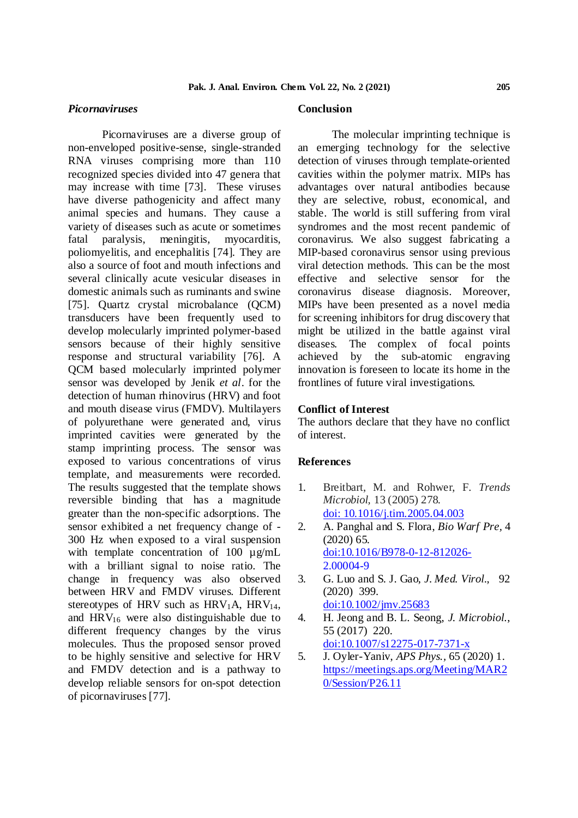## *Picornaviruses*

Picornaviruses are a diverse group of non-enveloped positive-sense, single-stranded RNA viruses comprising more than 110 recognized species divided into 47 genera that may increase with time [73]. These viruses have diverse pathogenicity and affect many animal species and humans. They cause a variety of diseases such as acute or sometimes fatal paralysis, meningitis, myocarditis, poliomyelitis, and encephalitis [74]. They are also a source of foot and mouth infections and several clinically acute vesicular diseases in domestic animals such as ruminants and swine [75]. Quartz crystal microbalance (QCM) transducers have been frequently used to develop molecularly imprinted polymer-based sensors because of their highly sensitive response and structural variability [76]. A achieved by QCM based molecularly imprinted polymer sensor was developed by Jenik *et al*. for the detection of human rhinovirus (HRV) and foot and mouth disease virus (FMDV). Multilayers of polyurethane were generated and, virus imprinted cavities were generated by the stamp imprinting process. The sensor was exposed to various concentrations of virus template, and measurements were recorded. The results suggested that the template shows reversible binding that has a magnitude greater than the non-specific adsorptions. The sensor exhibited a net frequency change of - 300 Hz when exposed to a viral suspension with template concentration of 100  $\mu$ g/mL with a brilliant signal to noise ratio. The change in frequency was also observed between HRV and FMDV viruses. Different stereotypes of HRV such as  $HRV_1A$ ,  $HRV_{14}$ , and  $HRV_{16}$  were also distinguishable due to 4. different frequency changes by the virus molecules. Thus the proposed sensor proved to be highly sensitive and selective for HRV and FMDV detection and is a pathway to develop reliable sensors for on-spot detection of picornaviruses[77].

#### **Conclusion**

The molecular imprinting technique is an emerging technology for the selective detection of viruses through template-oriented cavities within the polymer matrix. MIPs has advantages over natural antibodies because they are selective, robust, economical, and stable. The world is still suffering from viral syndromes and the most recent pandemic of coronavirus. We also suggest fabricating a MIP-based coronavirus sensor using previous viral detection methods. This can be the most effective and selective sensor for the coronavirus disease diagnosis. Moreover, MIPs have been presented as a novel media for screening inhibitors for drug discovery that might be utilized in the battle against viral diseases. The complex of focal points the sub-atomic engraving innovation is foreseen to locate its home in the frontlines of future viral investigations.

### **Conflict of Interest**

The authors declare that they have no conflict of interest.

#### **References**

- 1. Breitbart, M. and Rohwer, F. *Trends Microbiol,* 13 (2005) 278. doi: 10.1016/j.tim.2005.04.003
- 2. A. Panghal and S. Flora, *Bio Warf Pre,* 4 (2020) 65. doi:10.1016/B978-0-12-812026- 2.00004-9
- 3. G. Luo and S. J. Gao, *J. Med. Virol.,* 92 (2020) 399. doi:10.1002/jmv.25683
- 4. H. Jeong and B. L. Seong, *J. Microbiol*., 55 (2017) 220. doi:10.1007/s12275-017-7371-x
- 5. J. Oyler-Yaniv, *APS Phys.,* 65 (2020) 1. https://meetings.aps.org/Meeting/MAR2 0/Session/P26.11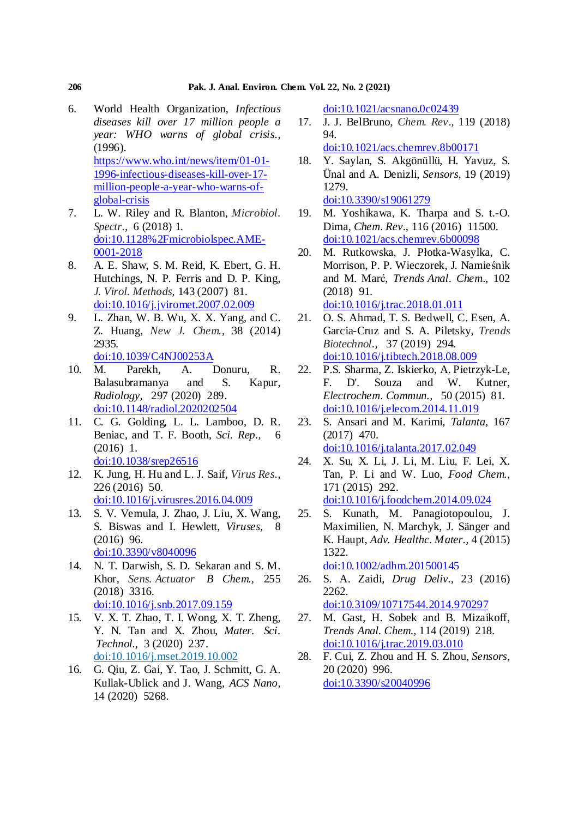- 6. World Health Organization, *Infectious diseases kill over 17 million people a year: WHO warns of global crisis*., (1996). https://www.who.int/news/item/01-01- 1996-infectious-diseases-kill-over-17 million-people-a-year-who-warns-ofglobal-crisis
- 7. L. W. Riley and R. Blanton, *Microbiol. Spectr.,* 6 (2018) 1. doi:10.1128%2Fmicrobiolspec.AME-0001-2018
- 8. A. E. Shaw, S. M. Reid, K. Ebert, G. H. Hutchings, N. P. Ferris and D. P. King, *J. Virol. Methods,* 143 (2007) 81. doi:10.1016/j.jviromet.2007.02.009
- 9. L. Zhan, W. B. Wu, X. X. Yang, and C. Z. Huang, *New J. Chem.,* 38 (2014) 2935. doi:10.1039/C4NJ00253A
- 10. M. Parekh, A. Donuru, R. Balasubramanya and S. Kapur, *Radiology,* 297 (2020) 289. doi:10.1148/radiol.2020202504
- 11. C. G. Golding, L. L. Lamboo, D. R. Beniac, and T. F. Booth, *Sci. Rep.,* 6 (2016) 1. doi:10.1038/srep26516
- 12. K. Jung, H. Hu and L. J. Saif, *Virus Res*.*,* 226 (2016) 50. doi:10.1016/j.virusres.2016.04.009
- 13. S. V. Vemula, J. Zhao, J. Liu, X. Wang, S. Biswas and I. Hewlett, *Viruses,* 8 (2016) 96. doi:10.3390/v8040096
- 14. N. T. Darwish, S. D. Sekaran and S. M. Khor, *Sens. Actuator B Chem.,* 255 (2018) 3316. doi:10.1016/j.snb.2017.09.159
- 15. V. X. T. Zhao, T. I. Wong, X. T. Zheng, Y. N. Tan and X. Zhou, *Mater. Sci. Technol.,* 3 (2020) 237. doi:10.1016/j.mset.2019.10.002
- 16. G. Qiu, Z. Gai, Y. Tao, J. Schmitt, G. A. Kullak-Ublick and J. Wang, *ACS Nano,* 14 (2020) 5268.

doi:10.1021/acsnano.0c02439

- 17. J. J. BelBruno, *Chem. Rev*.*,* 119 (2018) 94.
- doi:10.1021/acs.chemrev.8b00171 18. Y. Saylan, S. Akgönüllü, H. Yavuz, S.
- Ünal and A. Denizli, *Sensors,* 19 (2019) 1279. doi:10.3390/s19061279
- 19. M. Yoshikawa, K. Tharpa and S. t.-O. Dima, *Chem. Rev*.*,* 116 (2016) 11500. doi:10.1021/acs.chemrev.6b00098
- 20. M. Rutkowska, J. Płotka-Wasylka, C. Morrison, P. P. Wieczorek, J. Namieśnik and M. Marć, *Trends Anal. Chem.,* 102 (2018) 91. doi:10.1016/j.trac.2018.01.011
- 21. O. S. Ahmad, T. S. Bedwell, C. Esen, A. Garcia-Cruz and S. A. Piletsky, *Trends Biotechnol.,* 37 (2019) 294. doi:10.1016/j.tibtech.2018.08.009
- 22. P.S. Sharma, Z. Iskierko, A. Pietrzyk-Le, F. D'. Souza and W. Kutner, *Electrochem. Commun*.*,* 50 (2015) 81. doi:10.1016/j.elecom.2014.11.019
- 23. S. Ansari and M. Karimi, *Talanta,* 167 (2017) 470. doi:10.1016/j.talanta.2017.02.049
- 24. X. Su, X. Li, J. Li, M. Liu, F. Lei, X. Tan, P. Li and W. Luo, *Food Chem*.*,* 171 (2015) 292. doi:10.1016/j.foodchem.2014.09.024
- 25. S. Kunath, M. Panagiotopoulou, J. Maximilien, N. Marchyk, J. Sänger and K. Haupt, *Adv. Healthc. Mater.,* 4 (2015) 1322.

doi:10.1002/adhm.201500145

- 26. S. A. Zaidi, *Drug Deliv.,* 23 (2016) 2262. doi:10.3109/10717544.2014.970297
- 27. M. Gast, H. Sobek and B. Mizaikoff, *Trends Anal. Chem.,* 114 (2019) 218. doi:10.1016/j.trac.2019.03.010
- 28. F. Cui, Z. Zhou and H. S. Zhou, *Sensors,* 20 (2020) 996. doi:10.3390/s20040996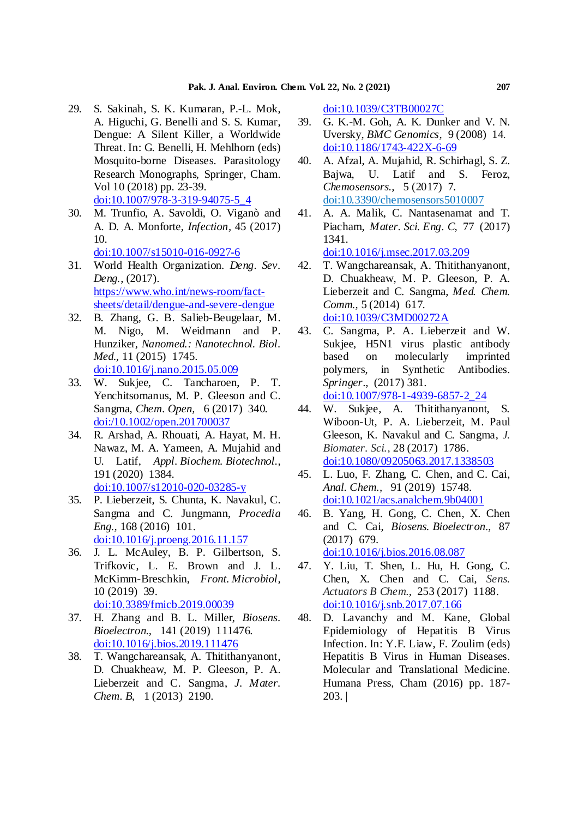- 29. S. Sakinah, S. K. Kumaran, P.-L. Mok, A. Higuchi, G. Benelli and S. S. Kumar, Dengue: A Silent Killer, a Worldwide Threat. In: G. Benelli, H. Mehlhorn (eds) Mosquito-borne Diseases. Parasitology Research Monographs, Springer, Cham. Vol 10 (2018) pp. 23-39. doi:10.1007/978-3-319-94075-5\_4
- 30. M. Trunfio, A. Savoldi, O. Viganò and A. D. A. Monforte, *Infection,* 45 (2017) 10.
	- doi:10.1007/s15010-016-0927-6
- 31. World Health Organization. *Deng. Sev. Deng.*, (2017). https://www.who.int/news-room/factsheets/detail/dengue-and-severe-dengue
- 32. B. Zhang, G. B. Salieb-Beugelaar, M. M. Nigo, M. Weidmann and P. Hunziker, *Nanomed.: Nanotechnol. Biol. Med*.*,* 11 (2015) 1745. doi:10.1016/j.nano.2015.05.009
- 33. W. Sukjee, C. Tancharoen, P. T. Yenchitsomanus, M. P. Gleeson and C. Sangma, *Chem. Open,* 6 (2017) 340. doi:/10.1002/open.201700037
- 34. R. Arshad, A. Rhouati, A. Hayat, M. H. Nawaz, M. A. Yameen, A. Mujahid and U. Latif, *Appl. Biochem. Biotechnol*.*,* 191 (2020) 1384. doi:10.1007/s12010-020-03285-y
- 35. P. Lieberzeit, S. Chunta, K. Navakul, C. Sangma and C. Jungmann, *Procedia Eng.,* 168 (2016) 101. doi:10.1016/j.proeng.2016.11.157
- 36. J. L. McAuley, B. P. Gilbertson, S. Trifkovic, L. E. Brown and J. L. McKimm-Breschkin, *Front. Microbiol,* 10 (2019) 39. doi:10.3389/fmicb.2019.00039
- 37. H. Zhang and B. L. Miller, *Biosens. Bioelectron*.*,* 141 (2019) 111476. doi:10.1016/j.bios.2019.111476
- 38. T. Wangchareansak, A. Thitithanyanont, D. Chuakheaw, M. P. Gleeson, P. A. Lieberzeit and C. Sangma, *J. Mater. Chem. B*, 1 (2013) 2190.

doi:10.1039/C3TB00027C

- 39. G. K.-M. Goh, A. K. Dunker and V. N. Uversky, *BMC Genomics,* 9 (2008) 14. doi:10.1186/1743-422X-6-69
- 40. A. Afzal, A. Mujahid, R. Schirhagl, S. Z. Bajwa, U. Latif and S. Feroz, *Chemosensors.,* 5 (2017) 7. doi:10.3390/chemosensors5010007
- 41. A. A. Malik, C. Nantasenamat and T. Piacham, *Mater. Sci. Eng. C,* 77 (2017) 1341. doi:10.1016/j.msec.2017.03.209
- 42. T. Wangchareansak, A. Thitithanyanont, D. Chuakheaw, M. P. Gleeson, P. A. Lieberzeit and C. Sangma, *Med. Chem. Comm.,* 5 (2014) 617. doi:10.1039/C3MD00272A
- 43. C. Sangma, P. A. Lieberzeit and W. Sukjee, H5N1 virus plastic antibody based on molecularly imprinted polymers, in Synthetic Antibodies. *Springer*., (2017) 381. doi:10.1007/978-1-4939-6857-2\_24
- 44. W. Sukjee, A. Thitithanyanont, S. Wiboon-Ut, P. A. Lieberzeit, M. Paul Gleeson, K. Navakul and C. Sangma, *J. Biomater. Sci.,* 28 (2017) 1786. doi:10.1080/09205063.2017.1338503
- 45. L. Luo, F. Zhang, C. Chen, and C. Cai, *Anal. Chem*.*,* 91 (2019) 15748. doi:10.1021/acs.analchem.9b04001
- 46. B. Yang, H. Gong, C. Chen, X. Chen and C. Cai, *Biosens. Bioelectron*., 87 (2017) 679. doi:10.1016/j.bios.2016.08.087
- 47. Y. Liu, T. Shen, L. Hu, H. Gong, C. Chen, X. Chen and C. Cai, *Sens. Actuators B Chem.,* 253 (2017) 1188. doi:10.1016/j.snb.2017.07.166
- 48. D. Lavanchy and M. Kane, Global Epidemiology of Hepatitis B Virus Infection. In: Y.F. Liaw, F. Zoulim (eds) Hepatitis B Virus in Human Diseases. Molecular and Translational Medicine. Humana Press, Cham (2016) pp. 187- 203. |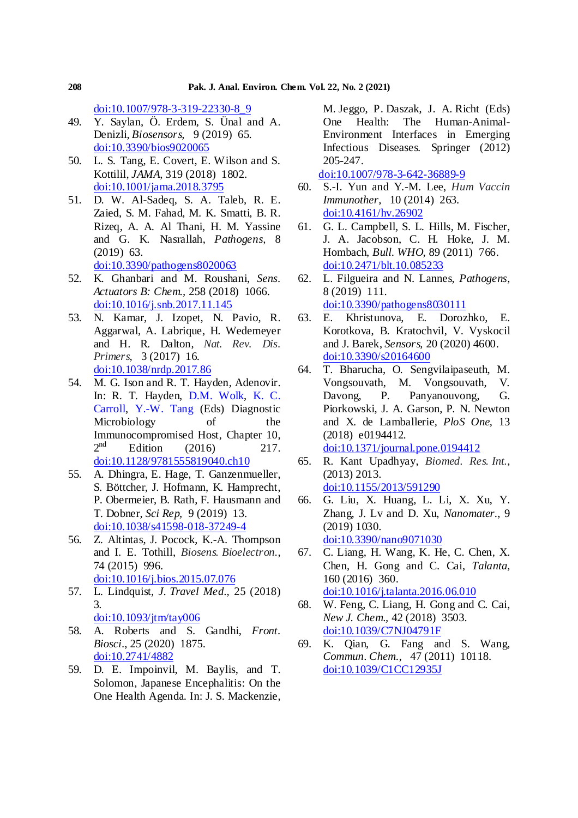doi:10.1007/978-3-319-22330-8\_9

- 49. Y. Saylan, Ö. Erdem, S. Ünal and A. Denizli, *Biosensors,* 9 (2019) 65. doi:10.3390/bios9020065
- 50. L. S. Tang, E. Covert, E. Wilson and S. Kottilil, *JAMA,* 319 (2018) 1802. doi:10.1001/jama.2018.3795
- 51. D. W. Al-Sadeq, S. A. Taleb, R. E. Zaied, S. M. Fahad, M. K. Smatti, B. R. Rizeq, A. A. Al Thani, H. M. Yassine and G. K. Nasrallah, *Pathogens,* 8 (2019) 63. doi:10.3390/pathogens8020063
- 52. K. Ghanbari and M. Roushani, *Sens. Actuators B: Chem.,* 258 (2018) 1066. doi:10.1016/j.snb.2017.11.145
- 53. N. Kamar, J. Izopet, N. Pavio, R. Aggarwal, A. Labrique, H. Wedemeyer and H. R. Dalton, *Nat. Rev. Dis. Primers,* 3 (2017) 16. doi:10.1038/nrdp.2017.86
- 54. M. G. Ison and R. T. Hayden, Adenovir. In: R. T. Hayden, D.M. Wolk, K. C. Carroll, Y.-W. Tang (Eds) Diagnostic Microbiology of the Immunocompromised Host, Chapter 10,  $2<sup>nd</sup>$ Edition  $(2016)$  217. doi:10.1128/9781555819040.ch10
- 55. A. Dhingra, E. Hage, T. Ganzenmueller, S. Böttcher, J. Hofmann, K. Hamprecht, P. Obermeier, B. Rath, F. Hausmann and T. Dobner, *Sci Rep,* 9 (2019) 13. doi:10.1038/s41598-018-37249-4
- 56. Z. Altintas, J. Pocock, K.-A. Thompson and I. E. Tothill, *Biosens. Bioelectron*.*,* 74 (2015) 996. doi:10.1016/j.bios.2015.07.076
- 57. L. Lindquist, *J. Travel Med*.*,* 25 (2018) 3. doi:10.1093/jtm/tay006
- 58. A. Roberts and S. Gandhi, *Front. Biosci*., 25 (2020) 1875. doi:10.2741/4882
- 59. D. E. Impoinvil, M. Baylis, and T. Solomon, Japanese Encephalitis: On the One Health Agenda. In: J. S. Mackenzie,

M. Jeggo, P. Daszak, J. A. Richt (Eds) One Health: The Human-Animal-Environment Interfaces in Emerging Infectious Diseases. Springer (2012) 205-247.

doi:10.1007/978-3-642-36889-9

- 60. S.-I. Yun and Y.-M. Lee, *Hum Vaccin Immunother,* 10 (2014) 263. doi:10.4161/hv.26902
- 61. G. L. Campbell, S. L. Hills, M. Fischer, J. A. Jacobson, C. H. Hoke, J. M. Hombach, *Bull. WHO,* 89 (2011) 766. doi:10.2471/blt.10.085233
- 62. L. Filgueira and N. Lannes, *Pathogens,* 8 (2019) 111. doi:10.3390/pathogens8030111
- 63. E. Khristunova, E. Dorozhko, E. Korotkova, B. Kratochvil, V. Vyskocil and J. Barek, *Sensors,* 20 (2020) 4600. doi:10.3390/s20164600
- 64. T. Bharucha, O. Sengvilaipaseuth, M. Vongsouvath, M. Vongsouvath, V. Davong, P. Panyanouvong, G. Piorkowski, J. A. Garson, P. N. Newton and X. de Lamballerie*, PloS One,* 13 (2018) e0194412. doi:10.1371/journal.pone.0194412
- 65. R. Kant Upadhyay, *Biomed. Res. Int*.*,* (2013) 2013. doi:10.1155/2013/591290
- 66. G. Liu, X. Huang, L. Li, X. Xu, Y. Zhang, J. Lv and D. Xu, *Nanomater.,* 9 (2019) 1030. doi:10.3390/nano9071030
- 67. C. Liang, H. Wang, K. He, C. Chen, X. Chen, H. Gong and C. Cai, *Talanta,* 160 (2016) 360. doi:10.1016/j.talanta.2016.06.010
- 68. W. Feng, C. Liang, H. Gong and C. Cai, *New J. Chem.,* 42 (2018) 3503. doi:10.1039/C7NJ04791F
- 69. K. Qian, G. Fang and S. Wang, *Commun. Chem*., 47 (2011) 10118. doi:10.1039/C1CC12935J